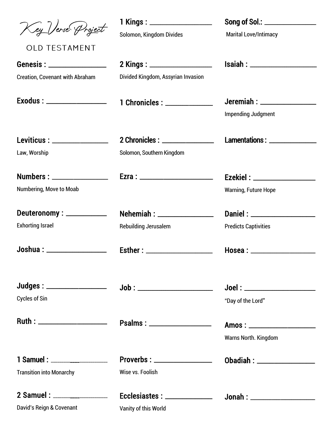| Key Verse Project<br><b>OLD TESTAMENT</b>                        | 1 Kings : __________________<br>Solomon, Kingdom Divides | Song of Sol.: ________________<br><b>Marital Love/Intimacy</b> |
|------------------------------------------------------------------|----------------------------------------------------------|----------------------------------------------------------------|
| Genesis: ________________                                        | 2 Kings : ____________________                           | <b>Isaiah : ____________________</b>                           |
| <b>Creation, Covenant with Abraham</b>                           | Divided Kingdom, Assyrian Invasion                       |                                                                |
| Exodus : _____________________                                   | 1 Chronicles : ______________                            | Jeremiah : __________________<br><b>Impending Judgment</b>     |
| Leviticus : _________________                                    | 2 Chronicles : ______________                            | Lamentations: ________________                                 |
| Law, Worship                                                     | Solomon, Southern Kingdom                                |                                                                |
| <b>Numbers : ___________________</b>                             | Ezra : _________________________                         | Ezekiel : ____________________                                 |
| Numbering, Move to Moab                                          |                                                          | <b>Warning, Future Hope</b>                                    |
| Deuteronomy: ____________                                        | <b>Nehemiah : ________________</b>                       | Daniel: _________________                                      |
| <b>Exhorting Israel</b>                                          | <b>Rebuilding Jerusalem</b>                              | <b>Predicts Captivities</b>                                    |
| Joshua : _________________                                       | Esther : ____________________                            |                                                                |
| Judges : ___________________                                     |                                                          |                                                                |
| <b>Cycles of Sin</b>                                             |                                                          | "Day of the Lord"                                              |
| Ruth : ________________________                                  | Psalms : ___________________                             | <b>Warns North. Kingdom</b>                                    |
|                                                                  |                                                          |                                                                |
| 1 Samuel : __________________<br><b>Transition into Monarchy</b> | Proverbs : __________________<br>Wise vs. Foolish        | Obadiah : ___________________                                  |
|                                                                  |                                                          |                                                                |
| 2 Samuel : __________________                                    | Ecclesiastes : _______________                           |                                                                |
| David's Reign & Covenant                                         | Vanity of this World                                     |                                                                |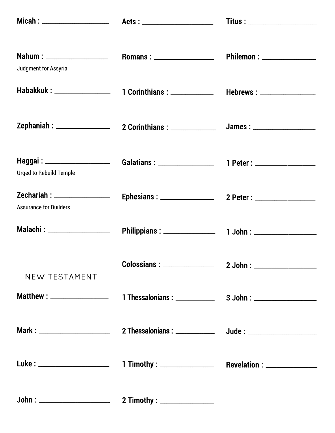|                                |                                                          | $Titus: \_$ |
|--------------------------------|----------------------------------------------------------|-------------|
| Judgment for Assyria           |                                                          |             |
| Habakkuk : __________________  | 1 Corinthians : ______________ Hebrews : _______________ |             |
|                                |                                                          |             |
| <b>Urged to Rebuild Temple</b> |                                                          |             |
| <b>Assurance for Builders</b>  |                                                          |             |
|                                |                                                          |             |
| NEW TESTAMENT                  |                                                          |             |
|                                |                                                          |             |
|                                |                                                          |             |
|                                |                                                          |             |
|                                |                                                          |             |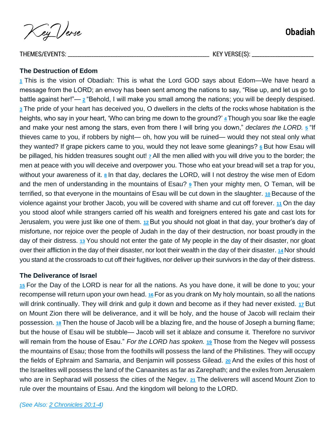Key Verse

THEMES/EVENTS: \_\_\_\_\_\_\_\_\_\_\_\_\_\_\_\_\_\_\_\_\_\_\_\_\_\_\_\_\_\_\_\_\_\_\_\_\_\_\_\_\_\_\_\_\_\_\_\_\_\_\_\_\_\_\_\_\_\_\_\_ KEY VERSE(S): \_\_\_\_\_\_\_\_\_\_\_\_\_\_\_\_\_\_\_\_\_\_\_\_

#### **The Destruction of Edom**

**[1](https://biblehub.com/obadiah/1-1.htm)** This is the vision of Obadiah: This is what the Lord GOD says about Edom—We have heard a message from the LORD; an envoy has been sent among the nations to say, "Rise up, and let us go to battle against her!"— **[2](https://biblehub.com/obadiah/1-2.htm)** "Behold, I will make you small among the nations; you will be deeply despised. **[3](https://biblehub.com/obadiah/1-3.htm)** The pride of your heart has deceived you, O dwellers in the clefts of the rocks whose habitation is the heights, who say in your heart, 'Who can bring me down to the ground?' [4](https://biblehub.com/obadiah/1-4.htm) Though you soar like the eagle and make your nest among the stars, even from there I will bring you down," *declares the LORD.* **[5](https://biblehub.com/obadiah/1-5.htm)** "If thieves came to you, if robbers by night— oh, how you will be ruined— would they not steal only what they wanted? If grape pickers came to you, would they not leave some gleanings? **[6](https://biblehub.com/obadiah/1-6.htm)** But how Esau will be pillaged, his hidden treasures sought out! **[7](https://biblehub.com/obadiah/1-7.htm)** All the men allied with you will drive you to the border; the men at peace with you will deceive and overpower you. Those who eat your bread will set a trap for you, without your awareness of it. **[8](https://biblehub.com/obadiah/1-8.htm)** In that day, declares the LORD, will I not destroy the wise men of Edom and the men of understanding in the mountains of Esau? **[9](https://biblehub.com/obadiah/1-9.htm)** Then your mighty men, O Teman, will be terrified, so that everyone in the mountains of Esau will be cut down in the slaughter. **[10](https://biblehub.com/obadiah/1-10.htm)** Because of the violence against your brother Jacob, you will be covered with shame and cut off forever. **[11](https://biblehub.com/obadiah/1-11.htm)** On the day you stood aloof while strangers carried off his wealth and foreigners entered his gate and cast lots for Jerusalem, you were just like one of them. **[12](https://biblehub.com/obadiah/1-12.htm)** But you should not gloat in that day, your brother's day of misfortune, nor rejoice over the people of Judah in the day of their destruction, nor boast proudly in the day of their distress. **[13](https://biblehub.com/obadiah/1-13.htm)** You should not enter the gate of My people in the day of their disaster, nor gloat over their affliction in the day of their disaster, nor loot their wealth in the day of their disaster. **[14](https://biblehub.com/obadiah/1-14.htm)** Nor should you stand at the crossroads to cut off their fugitives, nor deliver up their survivors in the day of their distress.

#### **The Deliverance of Israel**

**[15](https://biblehub.com/obadiah/1-15.htm)** For the Day of the LORD is near for all the nations. As you have done, it will be done to you; your recompense will return upon your own head. **[16](https://biblehub.com/obadiah/1-16.htm)** For as you drank on My holy mountain, so all the nations will drink continually. They will drink and gulp it down and become as if they had never existed. **[17](https://biblehub.com/obadiah/1-17.htm)** But on Mount Zion there will be deliverance, and it will be holy, and the house of Jacob will reclaim their possession. **[18](https://biblehub.com/obadiah/1-18.htm)** Then the house of Jacob will be a blazing fire, and the house of Joseph a burning flame; but the house of Esau will be stubble— Jacob will set it ablaze and consume it. Therefore no survivor will remain from the house of Esau." *For the LORD has spoken.* **[19](https://biblehub.com/obadiah/1-19.htm)** Those from the Negev will possess the mountains of Esau; those from the foothills will possess the land of the Philistines. They will occupy the fields of Ephraim and Samaria, and Benjamin will possess Gilead. **[20](https://biblehub.com/obadiah/1-20.htm)** And the exiles of this host of the Israelites will possess the land of the Canaanites as far as Zarephath; and the exiles from Jerusalem who are in Sepharad will possess the cities of the Negev. **[21](https://biblehub.com/obadiah/1-21.htm)** The deliverers will ascend Mount Zion to rule over the mountains of Esau. And the kingdom will belong to the LORD.